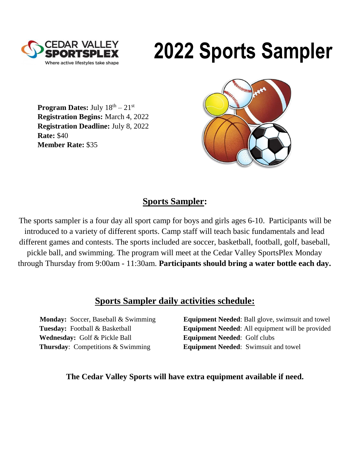

# **2022 Sports Sampler**

**Program Dates:** July  $18<sup>th</sup> - 21<sup>st</sup>$ **Registration Begins:** March 4, 2022 **Registration Deadline:** July 8, 2022 **Rate:** \$40 **Member Rate:** \$35



### **Sports Sampler:**

The sports sampler is a four day all sport camp for boys and girls ages 6-10. Participants will be introduced to a variety of different sports. Camp staff will teach basic fundamentals and lead different games and contests. The sports included are soccer, basketball, football, golf, baseball, pickle ball, and swimming. The program will meet at the Cedar Valley SportsPlex Monday through Thursday from 9:00am - 11:30am. **Participants should bring a water bottle each day.**

### **Sports Sampler daily activities schedule:**

**Wednesday:** Golf & Pickle Ball **Equipment Needed**: Golf clubs

**Monday:** Soccer, Baseball & Swimming **Equipment Needed**: Ball glove, swimsuit and towel **Tuesday:** Football & Basketball **Equipment Needed**: All equipment will be provided **Thursday**: Competitions & Swimming **Equipment Needed**: Swimsuit and towel

#### **The Cedar Valley Sports will have extra equipment available if need.**